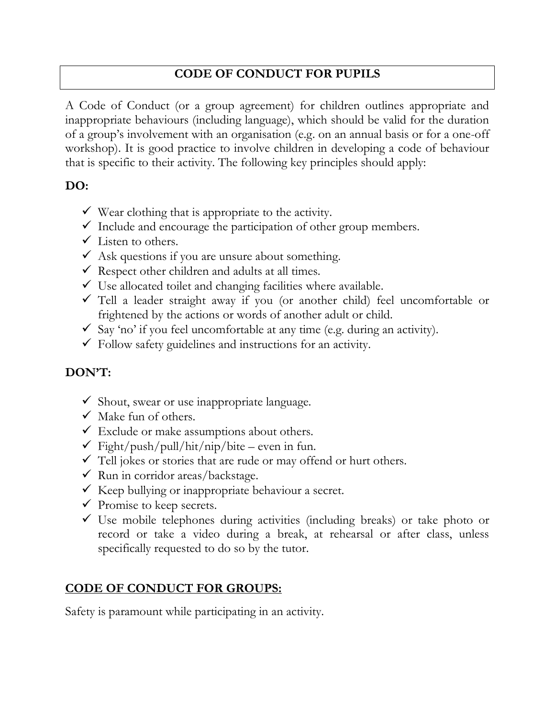## **CODE OF CONDUCT FOR PUPILS**

A Code of Conduct (or a group agreement) for children outlines appropriate and inappropriate behaviours (including language), which should be valid for the duration of a group's involvement with an organisation (e.g. on an annual basis or for a one-off workshop). It is good practice to involve children in developing a code of behaviour that is specific to their activity. The following key principles should apply:

#### **DO:**

- $\checkmark$  Wear clothing that is appropriate to the activity.
- $\checkmark$  Include and encourage the participation of other group members.
- $\checkmark$  Listen to others.
- $\checkmark$  Ask questions if you are unsure about something.
- $\checkmark$  Respect other children and adults at all times.
- $\checkmark$  Use allocated toilet and changing facilities where available.
- ✓ Tell a leader straight away if you (or another child) feel uncomfortable or frightened by the actions or words of another adult or child.
- $\checkmark$  Say 'no' if you feel uncomfortable at any time (e.g. during an activity).
- $\checkmark$  Follow safety guidelines and instructions for an activity.

# **DON'T:**

- ✓ Shout, swear or use inappropriate language.
- $\checkmark$  Make fun of others.
- $\checkmark$  Exclude or make assumptions about others.
- $\checkmark$  Fight/push/pull/hit/nip/bite even in fun.
- ✓ Tell jokes or stories that are rude or may offend or hurt others.
- $\checkmark$  Run in corridor areas/backstage.
- $\checkmark$  Keep bullying or inappropriate behaviour a secret.
- $\checkmark$  Promise to keep secrets.
- $\checkmark$  Use mobile telephones during activities (including breaks) or take photo or record or take a video during a break, at rehearsal or after class, unless specifically requested to do so by the tutor.

### **CODE OF CONDUCT FOR GROUPS:**

Safety is paramount while participating in an activity.